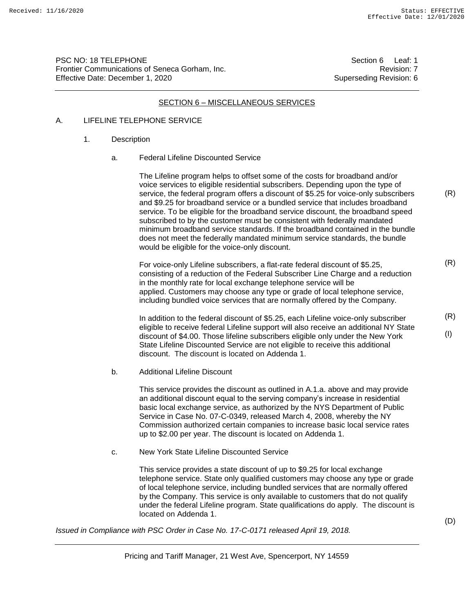PSC NO: 18 TELEPHONE Section 6 Leaf: 1 Frontier Communications of Seneca Gorham, Inc. Revision: 7 Effective Date: December 1, 2020 Superseding Revision: 6

#### SECTION 6 – MISCELLANEOUS SERVICES

#### A. LIFELINE TELEPHONE SERVICE

#### 1. Description

a. Federal Lifeline Discounted Service

The Lifeline program helps to offset some of the costs for broadband and/or voice services to eligible residential subscribers. Depending upon the type of service, the federal program offers a discount of \$5.25 for voice-only subscribers and \$9.25 for broadband service or a bundled service that includes broadband service. To be eligible for the broadband service discount, the broadband speed subscribed to by the customer must be consistent with federally mandated minimum broadband service standards. If the broadband contained in the bundle does not meet the federally mandated minimum service standards, the bundle would be eligible for the voice-only discount.

For voice-only Lifeline subscribers, a flat-rate federal discount of \$5.25, consisting of a reduction of the Federal Subscriber Line Charge and a reduction in the monthly rate for local exchange telephone service will be applied. Customers may choose any type or grade of local telephone service, including bundled voice services that are normally offered by the Company.

In addition to the federal discount of \$5.25, each Lifeline voice-only subscriber eligible to receive federal Lifeline support will also receive an additional NY State discount of \$4.00. Those lifeline subscribers eligible only under the New York State Lifeline Discounted Service are not eligible to receive this additional discount. The discount is located on Addenda 1.

b. Additional Lifeline Discount

This service provides the discount as outlined in A.1.a. above and may provide an additional discount equal to the serving company's increase in residential basic local exchange service, as authorized by the NYS Department of Public Service in Case No. 07-C-0349, released March 4, 2008, whereby the NY Commission authorized certain companies to increase basic local service rates up to \$2.00 per year. The discount is located on Addenda 1.

c. New York State Lifeline Discounted Service

This service provides a state discount of up to \$9.25 for local exchange telephone service. State only qualified customers may choose any type or grade of local telephone service, including bundled services that are normally offered by the Company. This service is only available to customers that do not qualify under the federal Lifeline program. State qualifications do apply. The discount is located on Addenda 1.

*Issued in Compliance with PSC Order in Case No. 17-C-0171 released April 19, 2018.*

(R)

(R)

(R)

(I)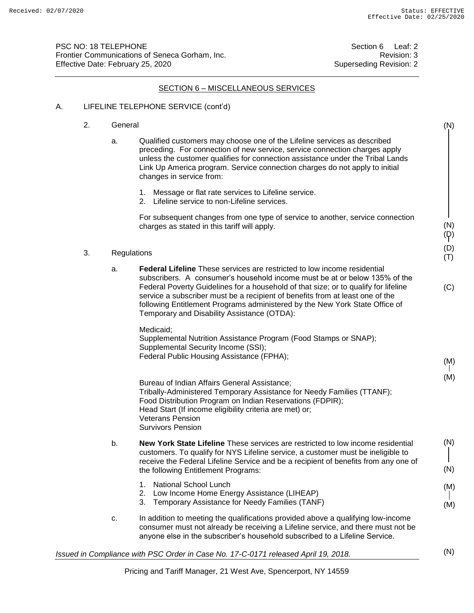(N)

(N) (D) (D) (T)

(M)

(M)

PSC NO: 18 TELEPHONE Section 6 Leaf: 2 Frontier Communications of Seneca Gorham, Inc. **Example 2018** 2014 12:33 Effective Date: February 25, 2020 Superseding Revision: 2

#### SECTION 6 – MISCELLANEOUS SERVICES

- A. LIFELINE TELEPHONE SERVICE (cont'd)
	- 2. General
		- a. Qualified customers may choose one of the Lifeline services as described preceding. For connection of new service, service connection charges apply unless the customer qualifies for connection assistance under the Tribal Lands Link Up America program. Service connection charges do not apply to initial changes in service from:
			- 1. Message or flat rate services to Lifeline service.
			- 2. Lifeline service to non-Lifeline services.

For subsequent changes from one type of service to another, service connection charges as stated in this tariff will apply.

- 3. Regulations
	- a. **Federal Lifeline** These services are restricted to low income residential subscribers. A consumer's household income must be at or below 135% of the Federal Poverty Guidelines for a household of that size; or to qualify for lifeline service a subscriber must be a recipient of benefits from at least one of the following Entitlement Programs administered by the New York State Office of Temporary and Disability Assistance (OTDA): (C)

Medicaid<sup>.</sup>

Supplemental Nutrition Assistance Program (Food Stamps or SNAP); Supplemental Security Income (SSI); Federal Public Housing Assistance (FPHA);

Bureau of Indian Affairs General Assistance; Tribally-Administered Temporary Assistance for Needy Families (TTANF); Food Distribution Program on Indian Reservations (FDPIR); Head Start (If income eligibility criteria are met) or; Veterans Pension

Survivors Pension

- b. **New York State Lifeline** These services are restricted to low income residential customers. To qualify for NYS Lifeline service, a customer must be ineligible to receive the Federal Lifeline Service and be a recipient of benefits from any one of the following Entitlement Programs: (N) (N)
	- 1. National School Lunch
	- 2. Low Income Home Energy Assistance (LIHEAP)
	- 3. Temporary Assistance for Needy Families (TANF)
- c. In addition to meeting the qualifications provided above a qualifying low-income consumer must not already be receiving a Lifeline service, and there must not be anyone else in the subscriber's household subscribed to a Lifeline Service.

*Issued in Compliance with PSC Order in Case No. 17-C-0171 released April 19, 2018.*

(N)

(M)

(M)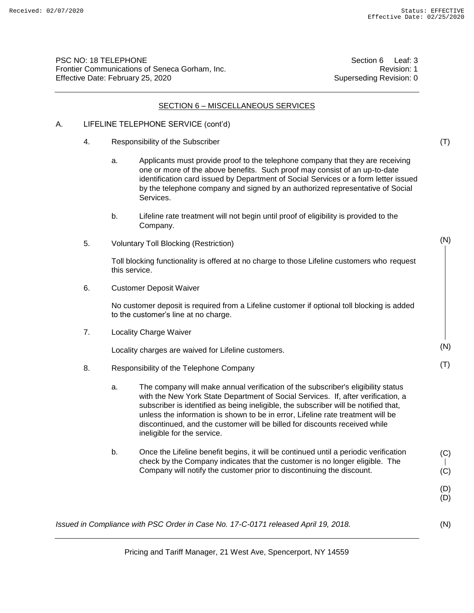(T)

(N)

(N)

(T)

PSC NO: 18 TELEPHONE Section 6 Leaf: 3 Frontier Communications of Seneca Gorham, Inc. Revision: 1 Effective Date: February 25, 2020 Superseding Revision: 0

#### SECTION 6 – MISCELLANEOUS SERVICES

## A. LIFELINE TELEPHONE SERVICE (cont'd)

- 4. Responsibility of the Subscriber
	- a. Applicants must provide proof to the telephone company that they are receiving one or more of the above benefits. Such proof may consist of an up-to-date identification card issued by Department of Social Services or a form letter issued by the telephone company and signed by an authorized representative of Social Services.
	- b. Lifeline rate treatment will not begin until proof of eligibility is provided to the Company.
- 5. Voluntary Toll Blocking (Restriction)

Toll blocking functionality is offered at no charge to those Lifeline customers who request this service.

6. Customer Deposit Waiver

No customer deposit is required from a Lifeline customer if optional toll blocking is added to the customer's line at no charge.

7. Locality Charge Waiver

Locality charges are waived for Lifeline customers.

- 8. Responsibility of the Telephone Company
	- a. The company will make annual verification of the subscriber's eligibility status with the New York State Department of Social Services. If, after verification, a subscriber is identified as being ineligible, the subscriber will be notified that, unless the information is shown to be in error, Lifeline rate treatment will be discontinued, and the customer will be billed for discounts received while ineligible for the service.
	- b. Once the Lifeline benefit begins, it will be continued until a periodic verification check by the Company indicates that the customer is no longer eligible. The Company will notify the customer prior to discontinuing the discount. (C) (C)

(D) (D)

(N)

*Issued in Compliance with PSC Order in Case No. 17-C-0171 released April 19, 2018.*

Pricing and Tariff Manager, 21 West Ave, Spencerport, NY 14559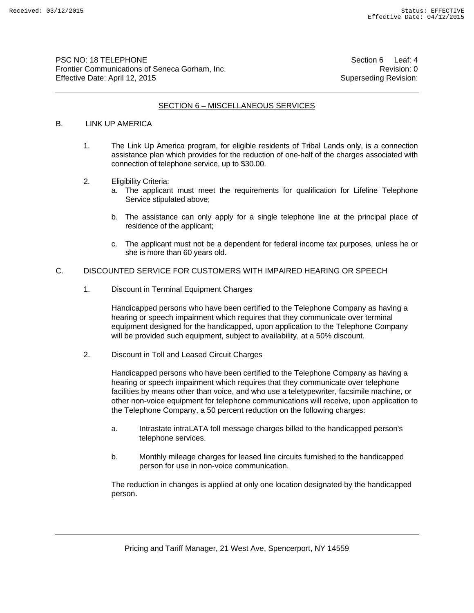PSC NO: 18 TELEPHONE Section 6 Leaf: 4 Frontier Communications of Seneca Gorham, Inc. **Revision: 0** Revision: 0 Effective Date: April 12, 2015 Superseding Revision:

## SECTION 6 – MISCELLANEOUS SERVICES

### B. LINK UP AMERICA

- 1. The Link Up America program, for eligible residents of Tribal Lands only, is a connection assistance plan which provides for the reduction of one-half of the charges associated with connection of telephone service, up to \$30.00.
- 2. Eligibility Criteria:
	- a. The applicant must meet the requirements for qualification for Lifeline Telephone Service stipulated above;
	- b. The assistance can only apply for a single telephone line at the principal place of residence of the applicant;
	- c. The applicant must not be a dependent for federal income tax purposes, unless he or she is more than 60 years old.

#### C. DISCOUNTED SERVICE FOR CUSTOMERS WITH IMPAIRED HEARING OR SPEECH

1. Discount in Terminal Equipment Charges

Handicapped persons who have been certified to the Telephone Company as having a hearing or speech impairment which requires that they communicate over terminal equipment designed for the handicapped, upon application to the Telephone Company will be provided such equipment, subject to availability, at a 50% discount.

2. Discount in Toll and Leased Circuit Charges

Handicapped persons who have been certified to the Telephone Company as having a hearing or speech impairment which requires that they communicate over telephone facilities by means other than voice, and who use a teletypewriter, facsimile machine, or other non-voice equipment for telephone communications will receive, upon application to the Telephone Company, a 50 percent reduction on the following charges:

- a. Intrastate intraLATA toll message charges billed to the handicapped person's telephone services.
- b. Monthly mileage charges for leased line circuits furnished to the handicapped person for use in non-voice communication.

The reduction in changes is applied at only one location designated by the handicapped person.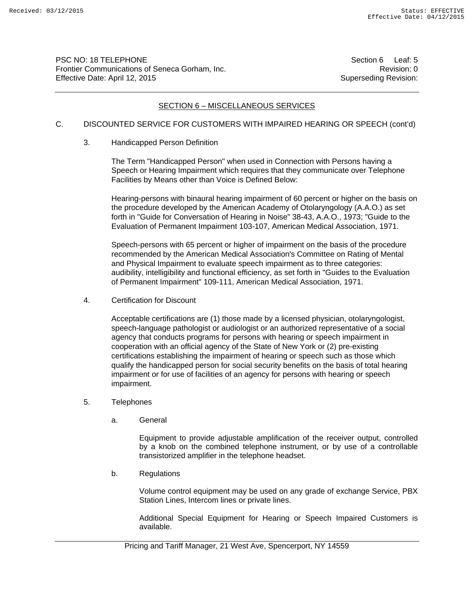PSC NO: 18 TELEPHONE Section 6 Leaf: 5 Frontier Communications of Seneca Gorham, Inc. **Revision: 0** Revision: 0 Effective Date: April 12, 2015 Superseding Revision:

## SECTION 6 – MISCELLANEOUS SERVICES

## C. DISCOUNTED SERVICE FOR CUSTOMERS WITH IMPAIRED HEARING OR SPEECH (cont'd)

3. Handicapped Person Definition

The Term "Handicapped Person" when used in Connection with Persons having a Speech or Hearing Impairment which requires that they communicate over Telephone Facilities by Means other than Voice is Defined Below:

Hearing-persons with binaural hearing impairment of 60 percent or higher on the basis on the procedure developed by the American Academy of Otolaryngology (A.A.O.) as set forth in "Guide for Conversation of Hearing in Noise" 38-43, A.A.O., 1973; "Guide to the Evaluation of Permanent Impairment 103-107, American Medical Association, 1971.

Speech-persons with 65 percent or higher of impairment on the basis of the procedure recommended by the American Medical Association's Committee on Rating of Mental and Physical Impairment to evaluate speech impairment as to three categories: audibility, intelligibility and functional efficiency, as set forth in "Guides to the Evaluation of Permanent Impairment" 109-111, American Medical Association, 1971.

4. Certification for Discount

Acceptable certifications are (1) those made by a licensed physician, otolaryngologist, speech-language pathologist or audiologist or an authorized representative of a social agency that conducts programs for persons with hearing or speech impairment in cooperation with an official agency of the State of New York or (2) pre-existing certifications establishing the impairment of hearing or speech such as those which qualify the handicapped person for social security benefits on the basis of total hearing impairment or for use of facilities of an agency for persons with hearing or speech impairment.

- 5. Telephones
	- a. General

Equipment to provide adjustable amplification of the receiver output, controlled by a knob on the combined telephone instrument, or by use of a controllable transistorized amplifier in the telephone headset.

b. Regulations

Volume control equipment may be used on any grade of exchange Service, PBX Station Lines, Intercom lines or private lines.

Additional Special Equipment for Hearing or Speech Impaired Customers is available.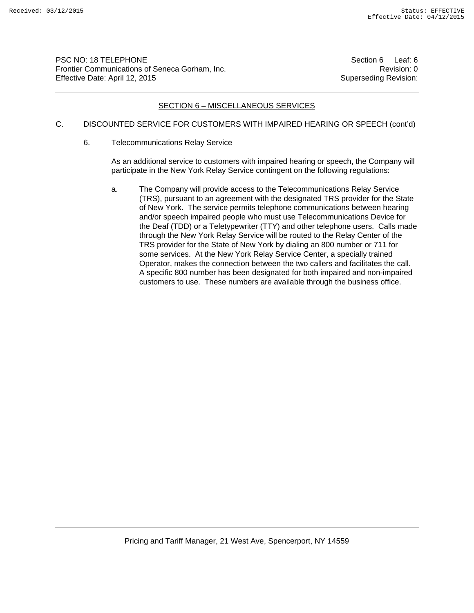PSC NO: 18 TELEPHONE<br>Frontier Communications of Seneca Gorham, Inc. Section 6 Section 6 Leaf: 6<br>Revision: 0 Frontier Communications of Seneca Gorham, Inc. Effective Date: April 12, 2015 Superseding Revision:

### SECTION 6 – MISCELLANEOUS SERVICES

## C. DISCOUNTED SERVICE FOR CUSTOMERS WITH IMPAIRED HEARING OR SPEECH (cont'd)

6. Telecommunications Relay Service

As an additional service to customers with impaired hearing or speech, the Company will participate in the New York Relay Service contingent on the following regulations:

a. The Company will provide access to the Telecommunications Relay Service (TRS), pursuant to an agreement with the designated TRS provider for the State of New York. The service permits telephone communications between hearing and/or speech impaired people who must use Telecommunications Device for the Deaf (TDD) or a Teletypewriter (TTY) and other telephone users. Calls made through the New York Relay Service will be routed to the Relay Center of the TRS provider for the State of New York by dialing an 800 number or 711 for some services. At the New York Relay Service Center, a specially trained Operator, makes the connection between the two callers and facilitates the call. A specific 800 number has been designated for both impaired and non-impaired customers to use. These numbers are available through the business office.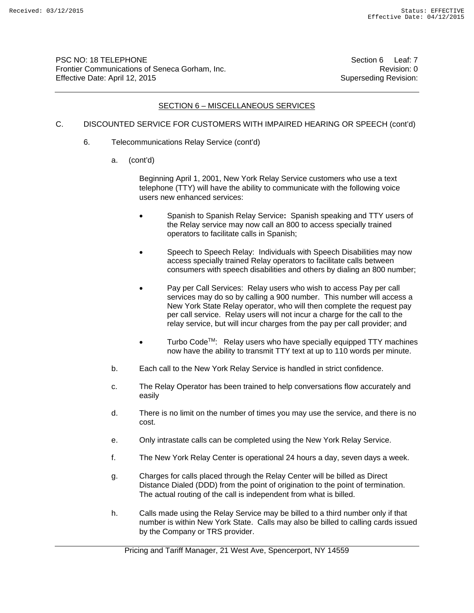PSC NO: 18 TELEPHONE Section 6 Leaf: 7 Frontier Communications of Seneca Gorham, Inc. **Revision: 0** Revision: 0 Effective Date: April 12, 2015 Superseding Revision:

## SECTION 6 – MISCELLANEOUS SERVICES

## C. DISCOUNTED SERVICE FOR CUSTOMERS WITH IMPAIRED HEARING OR SPEECH (cont'd)

- 6. Telecommunications Relay Service (cont'd)
	- a. (cont'd)

Beginning April 1, 2001, New York Relay Service customers who use a text telephone (TTY) will have the ability to communicate with the following voice users new enhanced services:

- Spanish to Spanish Relay Service**:** Spanish speaking and TTY users of the Relay service may now call an 800 to access specially trained operators to facilitate calls in Spanish;
- Speech to Speech Relay: Individuals with Speech Disabilities may now access specially trained Relay operators to facilitate calls between consumers with speech disabilities and others by dialing an 800 number;
- Pay per Call Services: Relay users who wish to access Pay per call services may do so by calling a 900 number. This number will access a New York State Relay operator, who will then complete the request pay per call service. Relay users will not incur a charge for the call to the relay service, but will incur charges from the pay per call provider; and
- Turbo CodeTM:Relay users who have specially equipped TTY machines now have the ability to transmit TTY text at up to 110 words per minute.
- b. Each call to the New York Relay Service is handled in strict confidence.
- c. The Relay Operator has been trained to help conversations flow accurately and easily
- d. There is no limit on the number of times you may use the service, and there is no cost.
- e. Only intrastate calls can be completed using the New York Relay Service.
- f. The New York Relay Center is operational 24 hours a day, seven days a week.
- g. Charges for calls placed through the Relay Center will be billed as Direct Distance Dialed (DDD) from the point of origination to the point of termination. The actual routing of the call is independent from what is billed.
- h. Calls made using the Relay Service may be billed to a third number only if that number is within New York State. Calls may also be billed to calling cards issued by the Company or TRS provider.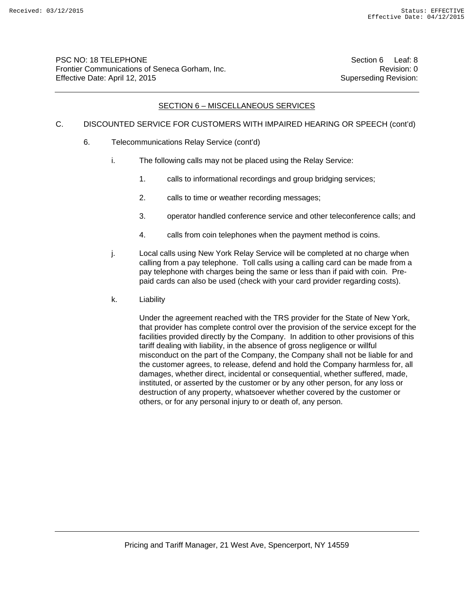## SECTION 6 – MISCELLANEOUS SERVICES

## C. DISCOUNTED SERVICE FOR CUSTOMERS WITH IMPAIRED HEARING OR SPEECH (cont'd)

- 6. Telecommunications Relay Service (cont'd)
	- i. The following calls may not be placed using the Relay Service:
		- 1. calls to informational recordings and group bridging services;
		- 2. calls to time or weather recording messages;
		- 3. operator handled conference service and other teleconference calls; and
		- 4. calls from coin telephones when the payment method is coins.
	- j. Local calls using New York Relay Service will be completed at no charge when calling from a pay telephone. Toll calls using a calling card can be made from a pay telephone with charges being the same or less than if paid with coin. Prepaid cards can also be used (check with your card provider regarding costs).
	- k. Liability

Under the agreement reached with the TRS provider for the State of New York, that provider has complete control over the provision of the service except for the facilities provided directly by the Company. In addition to other provisions of this tariff dealing with liability, in the absence of gross negligence or willful misconduct on the part of the Company, the Company shall not be liable for and the customer agrees, to release, defend and hold the Company harmless for, all damages, whether direct, incidental or consequential, whether suffered, made, instituted, or asserted by the customer or by any other person, for any loss or destruction of any property, whatsoever whether covered by the customer or others, or for any personal injury to or death of, any person.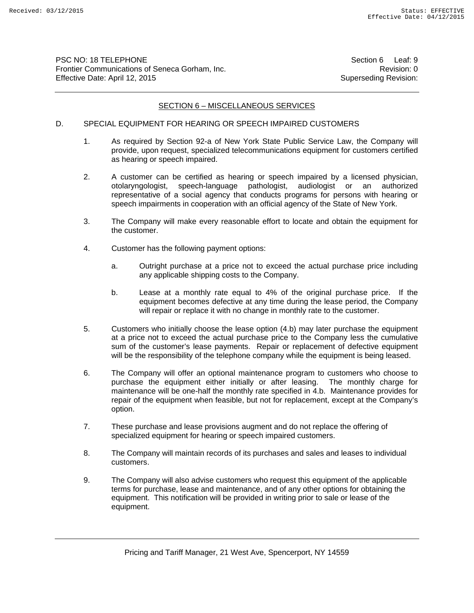PSC NO: 18 TELEPHONE Section 6 Leaf: 9 Frontier Communications of Seneca Gorham, Inc. **Revision: 0** Revision: 0 Effective Date: April 12, 2015 Superseding Revision:

### SECTION 6 – MISCELLANEOUS SERVICES

#### D. SPECIAL EQUIPMENT FOR HEARING OR SPEECH IMPAIRED CUSTOMERS

- 1. As required by Section 92-a of New York State Public Service Law, the Company will provide, upon request, specialized telecommunications equipment for customers certified as hearing or speech impaired.
- 2. A customer can be certified as hearing or speech impaired by a licensed physician, otolaryngologist, speech-language pathologist, audiologist or an authorized representative of a social agency that conducts programs for persons with hearing or speech impairments in cooperation with an official agency of the State of New York.
- 3. The Company will make every reasonable effort to locate and obtain the equipment for the customer.
- 4. Customer has the following payment options:
	- a. Outright purchase at a price not to exceed the actual purchase price including any applicable shipping costs to the Company.
	- b. Lease at a monthly rate equal to 4% of the original purchase price. If the equipment becomes defective at any time during the lease period, the Company will repair or replace it with no change in monthly rate to the customer.
- 5. Customers who initially choose the lease option (4.b) may later purchase the equipment at a price not to exceed the actual purchase price to the Company less the cumulative sum of the customer's lease payments. Repair or replacement of defective equipment will be the responsibility of the telephone company while the equipment is being leased.
- 6. The Company will offer an optional maintenance program to customers who choose to purchase the equipment either initially or after leasing. The monthly charge for maintenance will be one-half the monthly rate specified in 4.b. Maintenance provides for repair of the equipment when feasible, but not for replacement, except at the Company's option.
- 7. These purchase and lease provisions augment and do not replace the offering of specialized equipment for hearing or speech impaired customers.
- 8. The Company will maintain records of its purchases and sales and leases to individual customers.
- 9. The Company will also advise customers who request this equipment of the applicable terms for purchase, lease and maintenance, and of any other options for obtaining the equipment. This notification will be provided in writing prior to sale or lease of the equipment.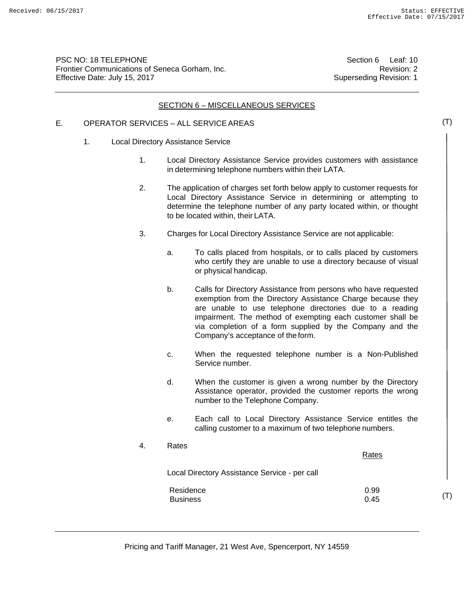PSC NO: 18 TELEPHONE Frontier Communications of Seneca Gorham, Inc. Effective Date: July 15, 2017

Section 6 Leaf: 10 Revision: 2 Superseding Revision: 1

## SECTION 6 - MISCELLANEOUS SERVICES

## E. OPERATOR SERVICES – ALL SERVICE AREAS

- 1. Local Directory Assistance Service
	- 1. Local Directory Assistance Service provides customers with assistance in determining telephone numbers within their LATA.
	- 2. The application of charges set forth below apply to customer requests for Local Directory Assistance Service in determining or attempting to determine the telephone number of any party located within, or thought to be located within, their LATA.
	- 3. Charges for Local Directory Assistance Service are not applicable:
		- a. To calls placed from hospitals, or to calls placed by customers who certify they are unable to use a directory because of visual or physical handicap.
		- b. Calls for Directory Assistance from persons who have requested exemption from the Directory Assistance Charge because they are unable to use telephone directories due to a reading impairment. The method of exempting each customer shall be via completion of a form supplied by the Company and the Company's acceptance of the form.
		- c. When the requested telephone number is a Non-Published Service number.
		- d. When the customer is given a wrong number by the Directory Assistance operator, provided the customer reports the wrong number to the Telephone Company.
		- e. Each call to Local Directory Assistance Service entitles the calling customer to a maximum of two telephone numbers.

| 4. | Rates                                         | Rates        |
|----|-----------------------------------------------|--------------|
|    | Local Directory Assistance Service - per call |              |
|    | Residence<br><b>Business</b>                  | 0.99<br>0.45 |

(T)

(T)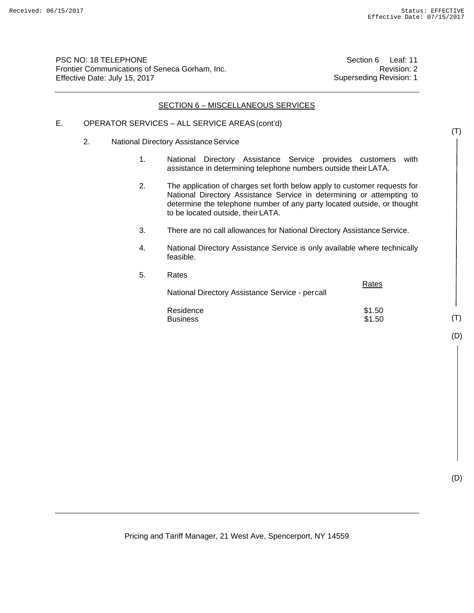PSC NO: 18 TELEPHONE Frontier Communications of Seneca Gorham, Inc. Effective Date: July 15, 2017

 $5.$ 

Section 6 Leaf: 11 Revision: 2 Superseding Revision: 1

#### SECTION 6 – MISCELLANEOUS SERVICES

## E. OPERATOR SERVICES – ALL SERVICE AREAS (cont'd)

- 2. National Directory Assistance Service
	- 1. National Directory Assistance Service provides customers with assistance in determining telephone numbers outside their LATA.
	- 2. The application of charges set forth below apply to customer requests for National Directory Assistance Service in determining or attempting to determine the telephone number of any party located outside, or thought to be located outside, their LATA.
	- 3. There are no call allowances for National Directory Assistance Service.
	- 4. National Directory Assistance Service is only available where technically feasible.

| Rates                                           | Rates            |
|-------------------------------------------------|------------------|
| National Directory Assistance Service - percall |                  |
| Residence<br><b>Business</b>                    | \$1.50<br>\$1.50 |

(D)

(T)

(T)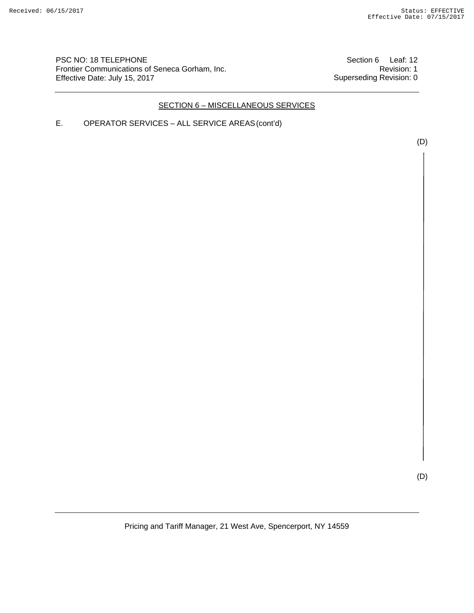PSC NO: 18 TELEPHONE Frontier Communications of Seneca Gorham, Inc. Effective Date: July 15, 2017

Section 6 Leaf: 12 Revision: 1 Superseding Revision: 0

## SECTION 6 – MISCELLANEOUS SERVICES

E. OPERATOR SERVICES – ALL SERVICE AREAS (cont'd)

(D)